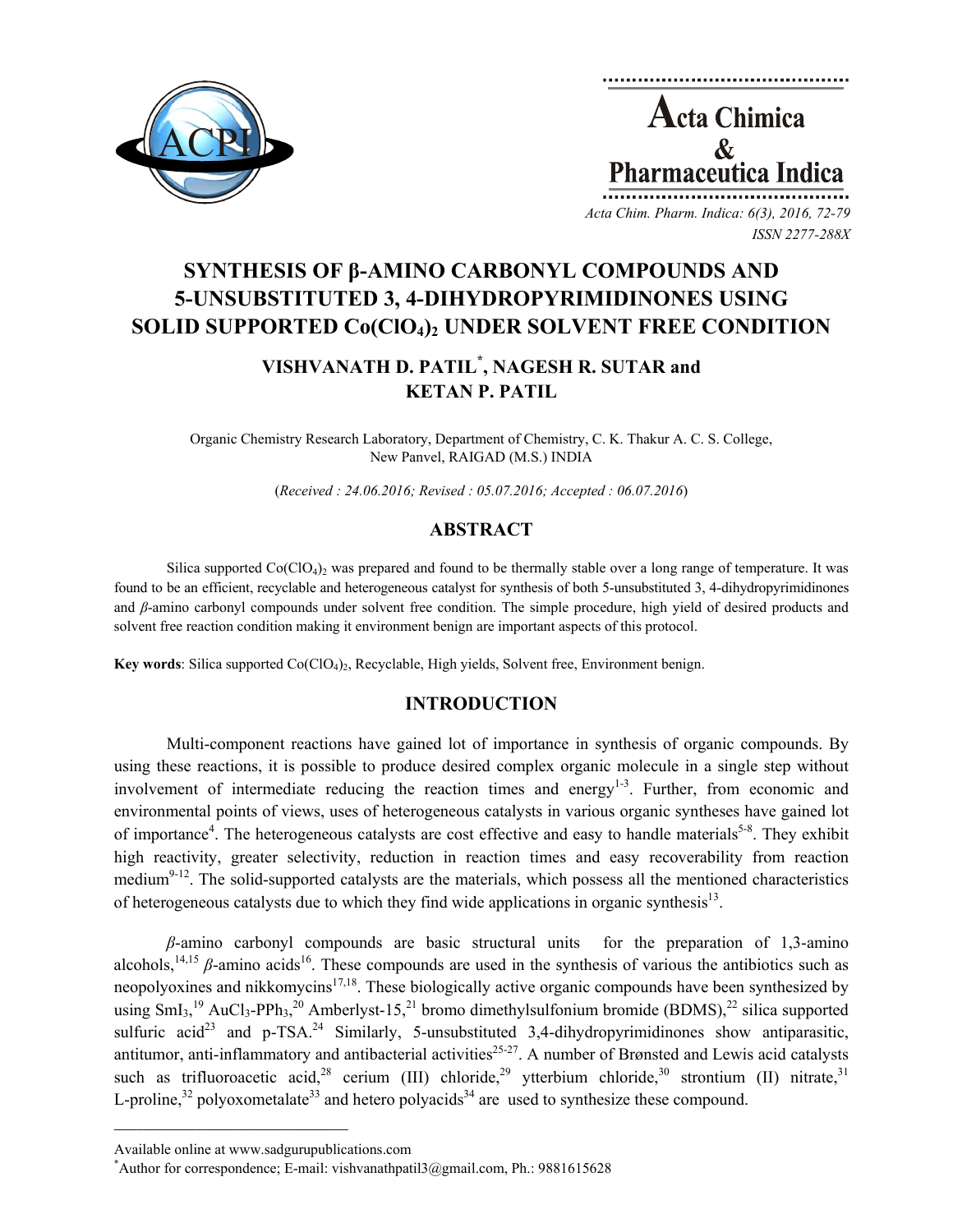



*Acta Chim. Pharm. Indica: 6(3), 2016, 72-79 ISSN 2277-288X*

# **SYNTHESIS OF β-AMINO CARBONYL COMPOUNDS AND 5-UNSUBSTITUTED 3, 4-DIHYDROPYRIMIDINONES USING**  SOLID SUPPORTED Co(ClO<sub>4</sub>)<sub>2</sub> UNDER SOLVENT FREE CONDITION

## **VISHVANATH D. PATIL\* , NAGESH R. SUTAR and KETAN P. PATIL**

Organic Chemistry Research Laboratory, Department of Chemistry, C. K. Thakur A. C. S. College, New Panvel, RAIGAD (M.S.) INDIA

(*Received : 24.06.2016; Revised : 05.07.2016; Accepted : 06.07.2016*)

## **ABSTRACT**

Silica supported  $Co(CIO<sub>4</sub>)<sub>2</sub>$  was prepared and found to be thermally stable over a long range of temperature. It was found to be an efficient, recyclable and heterogeneous catalyst for synthesis of both 5-unsubstituted 3, 4-dihydropyrimidinones and *β*-amino carbonyl compounds under solvent free condition. The simple procedure, high yield of desired products and solvent free reaction condition making it environment benign are important aspects of this protocol.

**Key words**: Silica supported Co(ClO4)2, Recyclable, High yields, Solvent free, Environment benign.

## **INTRODUCTION**

Multi-component reactions have gained lot of importance in synthesis of organic compounds. By using these reactions, it is possible to produce desired complex organic molecule in a single step without involvement of intermediate reducing the reaction times and energy<sup>1-3</sup>. Further, from economic and environmental points of views, uses of heterogeneous catalysts in various organic syntheses have gained lot of importance<sup>4</sup>. The heterogeneous catalysts are cost effective and easy to handle materials<sup>5-8</sup>. They exhibit high reactivity, greater selectivity, reduction in reaction times and easy recoverability from reaction medium<sup>9-12</sup>. The solid-supported catalysts are the materials, which possess all the mentioned characteristics of heterogeneous catalysts due to which they find wide applications in organic synthesis<sup>13</sup>.

*β*-amino carbonyl compounds are basic structural units for the preparation of 1,3-amino alcohols,<sup>14,15</sup>  $\beta$ -amino acids<sup>16</sup>. These compounds are used in the synthesis of various the antibiotics such as neopolyoxines and nikkomycins<sup>17,18</sup>. These biologically active organic compounds have been synthesized by using  $SmI_3$ ,<sup>19</sup> AuCl<sub>3</sub>-PPh<sub>3</sub>,<sup>20</sup> Amberlyst-15,<sup>21</sup> bromo dimethylsulfonium bromide (BDMS),<sup>22</sup> silica supported sulfuric acid<sup>23</sup> and p-TSA.<sup>24</sup> Similarly, 5-unsubstituted 3,4-dihydropyrimidinones show antiparasitic, antitumor, anti-inflammatory and antibacterial activities $25-27$ . A number of Brønsted and Lewis acid catalysts such as trifluoroacetic acid,<sup>28</sup> cerium (III) chloride,<sup>29</sup> ytterbium chloride,<sup>30</sup> strontium (II) nitrate,<sup>31</sup> L-proline,<sup>32</sup> polyoxometalate<sup>33</sup> and hetero polyacids<sup>34</sup> are used to synthesize these compound.

 $\mathcal{L}=\{1,2,3,4,5\}$ 

Available online at www.sadgurupublications.com \*

<sup>\*</sup>Author for correspondence; E-mail: vishvanathpatil $3$ @gmail.com, Ph.: 9881615628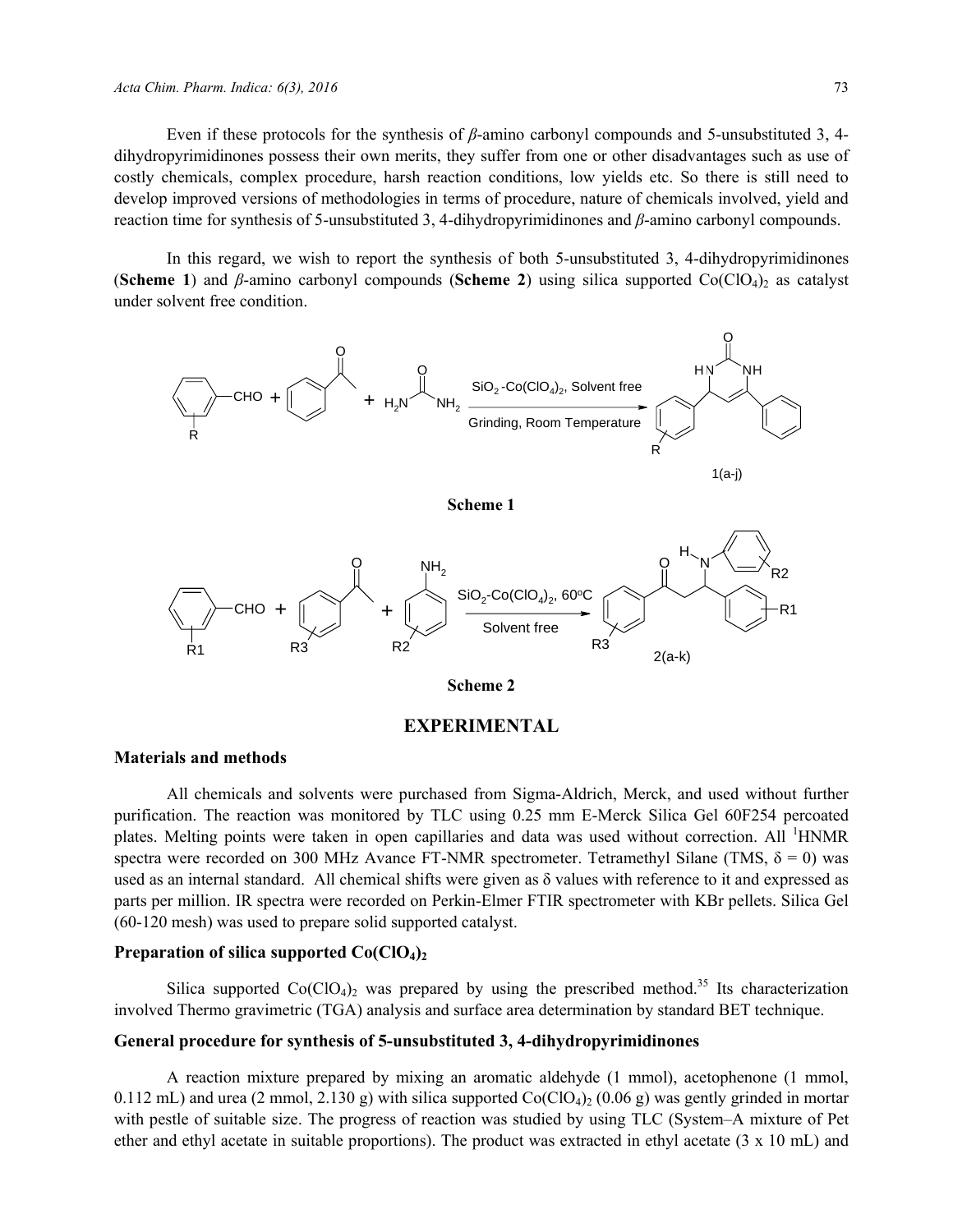Even if these protocols for the synthesis of *β*-amino carbonyl compounds and 5-unsubstituted 3, 4 dihydropyrimidinones possess their own merits, they suffer from one or other disadvantages such as use of costly chemicals, complex procedure, harsh reaction conditions, low yields etc. So there is still need to develop improved versions of methodologies in terms of procedure, nature of chemicals involved, yield and reaction time for synthesis of 5-unsubstituted 3, 4-dihydropyrimidinones and *β*-amino carbonyl compounds.

In this regard, we wish to report the synthesis of both 5-unsubstituted 3, 4-dihydropyrimidinones **(Scheme 1)** and *β*-amino carbonyl compounds (Scheme 2) using silica supported Co(ClO<sub>4</sub>)<sub>2</sub> as catalyst under solvent free condition.



#### **EXPERIMENTAL**

#### **Materials and methods**

All chemicals and solvents were purchased from Sigma-Aldrich, Merck, and used without further purification. The reaction was monitored by TLC using 0.25 mm E-Merck Silica Gel 60F254 percoated plates. Melting points were taken in open capillaries and data was used without correction. All <sup>1</sup>HNMR spectra were recorded on 300 MHz Avance FT-NMR spectrometer. Tetramethyl Silane (TMS,  $\delta = 0$ ) was used as an internal standard. All chemical shifts were given as δ values with reference to it and expressed as parts per million. IR spectra were recorded on Perkin-Elmer FTIR spectrometer with KBr pellets. Silica Gel (60-120 mesh) was used to prepare solid supported catalyst.

#### **Preparation of silica supported Co(ClO<sub>4</sub>)**

Silica supported  $Co(CIO<sub>4</sub>)<sub>2</sub>$  was prepared by using the prescribed method.<sup>35</sup> Its characterization involved Thermo gravimetric (TGA) analysis and surface area determination by standard BET technique.

#### **General procedure for synthesis of 5-unsubstituted 3, 4-dihydropyrimidinones**

A reaction mixture prepared by mixing an aromatic aldehyde (1 mmol), acetophenone (1 mmol, 0.112 mL) and urea (2 mmol, 2.130 g) with silica supported  $Co(CIO<sub>4</sub>)<sub>2</sub>$  (0.06 g) was gently grinded in mortar with pestle of suitable size. The progress of reaction was studied by using TLC (System–A mixture of Pet ether and ethyl acetate in suitable proportions). The product was extracted in ethyl acetate (3 x 10 mL) and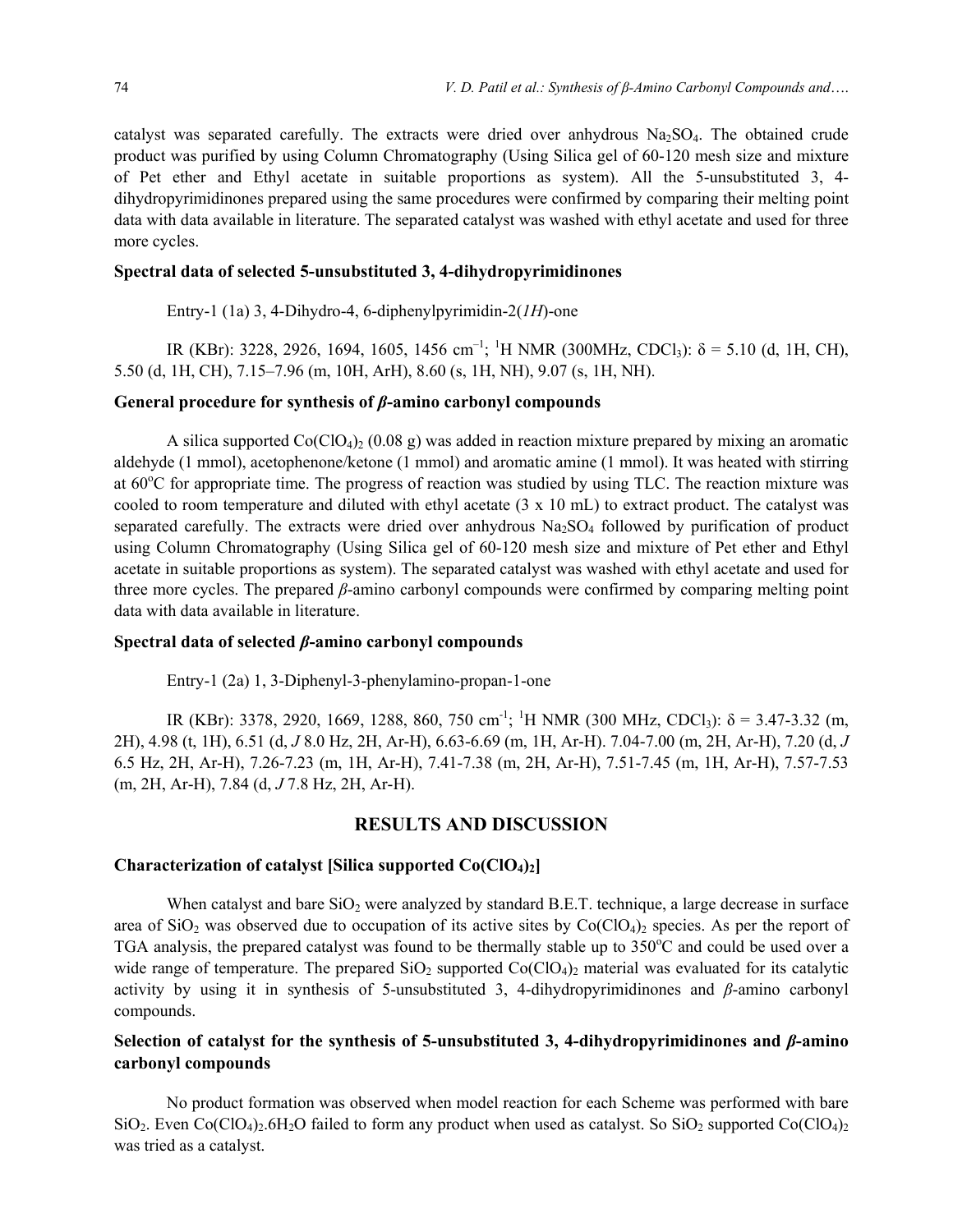catalyst was separated carefully. The extracts were dried over anhydrous  $Na<sub>2</sub>SO<sub>4</sub>$ . The obtained crude product was purified by using Column Chromatography (Using Silica gel of 60-120 mesh size and mixture of Pet ether and Ethyl acetate in suitable proportions as system). All the 5-unsubstituted 3, 4 dihydropyrimidinones prepared using the same procedures were confirmed by comparing their melting point data with data available in literature. The separated catalyst was washed with ethyl acetate and used for three more cycles.

#### **Spectral data of selected 5-unsubstituted 3, 4-dihydropyrimidinones**

Entry-1 (1a) 3, 4-Dihydro-4, 6-diphenylpyrimidin-2(*1H*)-one

IR (KBr): 3228, 2926, 1694, 1605, 1456 cm<sup>-1</sup>; <sup>1</sup>H NMR (300MHz, CDCl<sub>3</sub>):  $\delta$  = 5.10 (d, 1H, CH), 5.50 (d, 1H, CH), 7.15–7.96 (m, 10H, ArH), 8.60 (s, 1H, NH), 9.07 (s, 1H, NH).

## **General procedure for synthesis of** *β***-amino carbonyl compounds**

A silica supported  $Co(CIO<sub>4</sub>)<sub>2</sub>$  (0.08 g) was added in reaction mixture prepared by mixing an aromatic aldehyde (1 mmol), acetophenone/ketone (1 mmol) and aromatic amine (1 mmol). It was heated with stirring at 60°C for appropriate time. The progress of reaction was studied by using TLC. The reaction mixture was cooled to room temperature and diluted with ethyl acetate (3 x 10 mL) to extract product. The catalyst was separated carefully. The extracts were dried over anhydrous  $Na<sub>2</sub>SO<sub>4</sub>$  followed by purification of product using Column Chromatography (Using Silica gel of 60-120 mesh size and mixture of Pet ether and Ethyl acetate in suitable proportions as system). The separated catalyst was washed with ethyl acetate and used for three more cycles. The prepared *β*-amino carbonyl compounds were confirmed by comparing melting point data with data available in literature.

## **Spectral data of selected** *β***-amino carbonyl compounds**

Entry-1 (2a) 1, 3-Diphenyl-3-phenylamino-propan-1-one

IR (KBr): 3378, 2920, 1669, 1288, 860, 750 cm<sup>-1</sup>; <sup>1</sup>H NMR (300 MHz, CDCl<sub>3</sub>):  $\delta$  = 3.47-3.32 (m, 2H), 4.98 (t, 1H), 6.51 (d, *J* 8.0 Hz, 2H, Ar-H), 6.63-6.69 (m, 1H, Ar-H). 7.04-7.00 (m, 2H, Ar-H), 7.20 (d, *J*  6.5 Hz, 2H, Ar-H), 7.26-7.23 (m, 1H, Ar-H), 7.41-7.38 (m, 2H, Ar-H), 7.51-7.45 (m, 1H, Ar-H), 7.57-7.53 (m, 2H, Ar-H), 7.84 (d, *J* 7.8 Hz, 2H, Ar-H).

## **RESULTS AND DISCUSSION**

#### **Characterization of catalyst [Silica supported Co(ClO4)2]**

When catalyst and bare  $SiO<sub>2</sub>$  were analyzed by standard B.E.T. technique, a large decrease in surface area of SiO<sub>2</sub> was observed due to occupation of its active sites by  $Co(CIO_4)$ <sub>2</sub> species. As per the report of TGA analysis, the prepared catalyst was found to be thermally stable up to 350°C and could be used over a wide range of temperature. The prepared  $SiO_2$  supported  $Co(ClO_4)_2$  material was evaluated for its catalytic activity by using it in synthesis of 5-unsubstituted 3, 4-dihydropyrimidinones and *β*-amino carbonyl compounds.

## **Selection of catalyst for the synthesis of 5-unsubstituted 3, 4-dihydropyrimidinones and** *β***-amino carbonyl compounds**

No product formation was observed when model reaction for each Scheme was performed with bare  $SiO<sub>2</sub>$ . Even Co(ClO<sub>4</sub>)<sub>2</sub>.6H<sub>2</sub>O failed to form any product when used as catalyst. So SiO<sub>2</sub> supported Co(ClO<sub>4</sub>)<sub>2</sub> was tried as a catalyst.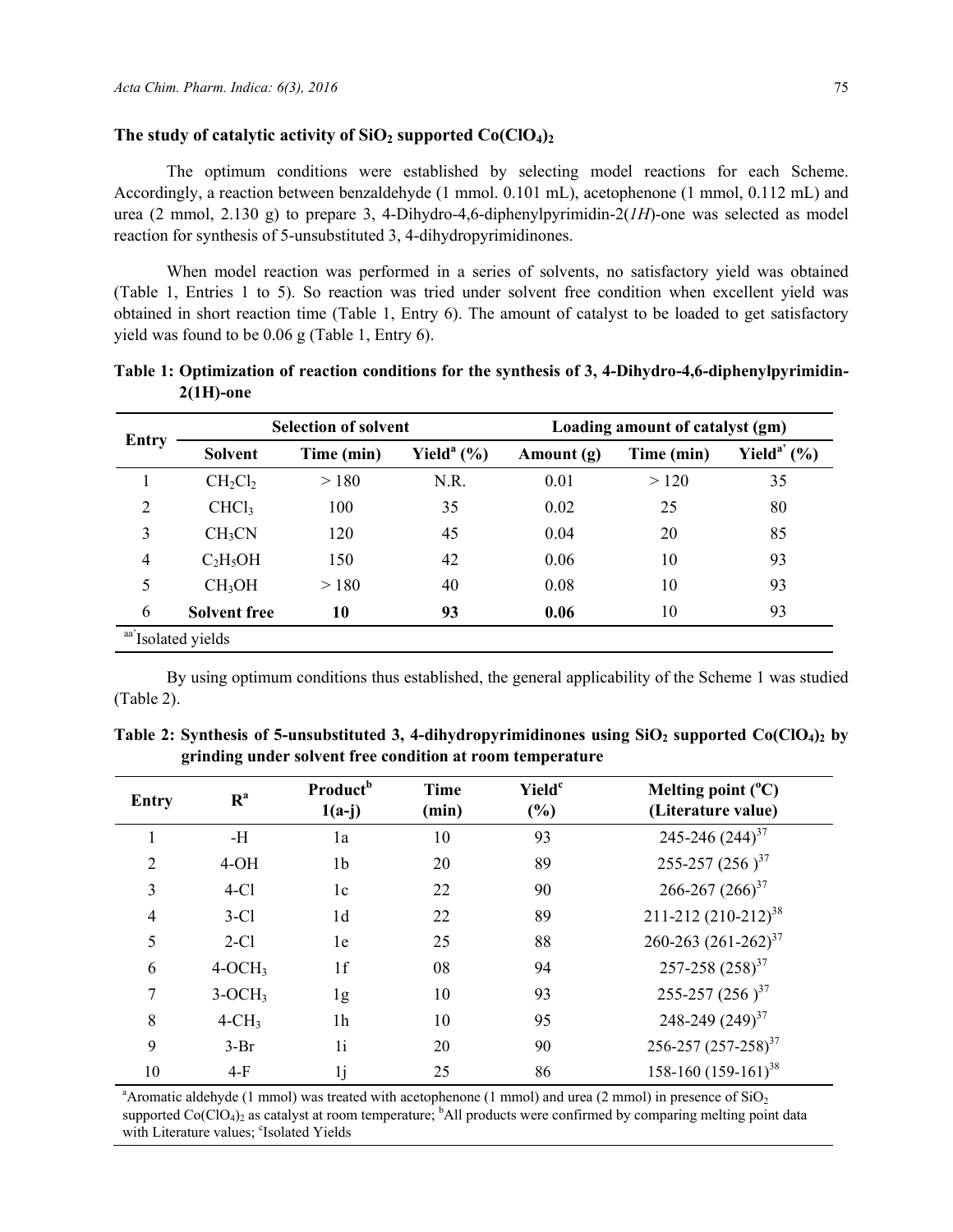#### The study of catalytic activity of  $SiO<sub>2</sub>$  supported  $Co(CIO<sub>4</sub>)<sub>2</sub>$

The optimum conditions were established by selecting model reactions for each Scheme. Accordingly, a reaction between benzaldehyde (1 mmol. 0.101 mL), acetophenone (1 mmol, 0.112 mL) and urea (2 mmol, 2.130 g) to prepare 3, 4-Dihydro-4,6-diphenylpyrimidin-2(*1H*)-one was selected as model reaction for synthesis of 5-unsubstituted 3, 4-dihydropyrimidinones.

When model reaction was performed in a series of solvents, no satisfactory yield was obtained (Table 1, Entries 1 to 5). So reaction was tried under solvent free condition when excellent yield was obtained in short reaction time (Table 1, Entry 6). The amount of catalyst to be loaded to get satisfactory yield was found to be 0.06 g (Table 1, Entry 6).

| <b>Entry</b>   |                     | <b>Selection of solvent</b> |                            | Loading amount of catalyst (gm) |            |                             |  |
|----------------|---------------------|-----------------------------|----------------------------|---------------------------------|------------|-----------------------------|--|
|                | <b>Solvent</b>      | Time (min)                  | Yield <sup>a</sup> $(\% )$ | Amount (g)                      | Time (min) | Yield <sup>a'</sup> $(\% )$ |  |
|                | $CH_2Cl_2$          | > 180                       | N.R.                       | 0.01                            | >120       | 35                          |  |
| $\overline{2}$ | CHCl <sub>3</sub>   | 100                         | 35                         | 0.02                            | 25         | 80                          |  |
| 3              | CH <sub>3</sub> CN  | 120                         | 45                         | 0.04                            | 20         | 85                          |  |
| $\overline{4}$ | $C_2H_5OH$          | 150                         | 42                         | 0.06                            | 10         | 93                          |  |
| 5              | CH <sub>3</sub> OH  | >180                        | 40                         | 0.08                            | 10         | 93                          |  |
| 6              | <b>Solvent free</b> | 10                          | 93                         | 0.06                            | 10         | 93                          |  |

**Table 1: Optimization of reaction conditions for the synthesis of 3, 4-Dihydro-4,6-diphenylpyrimidin-2(1H)-one** 

By using optimum conditions thus established, the general applicability of the Scheme 1 was studied (Table 2).

|  |                                                           |  |  | Table 2: Synthesis of 5-unsubstituted 3, 4-dihydropyrimidinones using $SiO_2$ supported $Co(ClO_4)_2$ by |
|--|-----------------------------------------------------------|--|--|----------------------------------------------------------------------------------------------------------|
|  | grinding under solvent free condition at room temperature |  |  |                                                                                                          |

| Entry          | R <sup>a</sup> | Product <sup>b</sup><br>$1(a-j)$ | <b>Time</b><br>(min) | Yield <sup>c</sup><br>$(\%)$ | Melting point $(^{\circ}C)$<br>(Literature value) |
|----------------|----------------|----------------------------------|----------------------|------------------------------|---------------------------------------------------|
|                | $-H$           | 1a                               | 10                   | 93                           | $245 - 246 (244)^{37}$                            |
| $\overline{2}$ | $4-OH$         | 1 <sub>b</sub>                   | 20                   | 89                           | 255-257 (256) <sup>37</sup>                       |
| 3              | $4-C1$         | 1c                               | 22                   | 90                           | $266 - 267 (266)^{37}$                            |
| $\overline{4}$ | $3-C1$         | 1 <sub>d</sub>                   | 22                   | 89                           | 211-212 $(210-212)^{38}$                          |
| 5              | $2-C1$         | 1e                               | 25                   | 88                           | 260-263 $(261-262)^{37}$                          |
| 6              | $4-OCH3$       | 1f                               | 08                   | 94                           | $257 - 258 (258)^{37}$                            |
| 7              | $3-OCH3$       | 1g                               | 10                   | 93                           | 255-257 (256) <sup>37</sup>                       |
| 8              | $4-CH3$        | 1 <sub>h</sub>                   | 10                   | 95                           | 248-249 $(249)^{37}$                              |
| 9              | $3-Br$         | 1i                               | 20                   | 90                           | 256-257 (257-258) <sup>37</sup>                   |
| 10             | $4-F$          | 1j                               | 25                   | 86                           | $158-160$ $(159-161)^{38}$                        |

<sup>a</sup> Aromatic aldehyde (1 mmol) was treated with acetophenone (1 mmol) and urea (2 mmol) in presence of  $SiO<sub>2</sub>$ supported  $Co(CIO<sub>4</sub>)<sub>2</sub>$  as catalyst at room temperature; <sup>b</sup>All products were confirmed by comparing melting point data with Literature values; 'Isolated Yields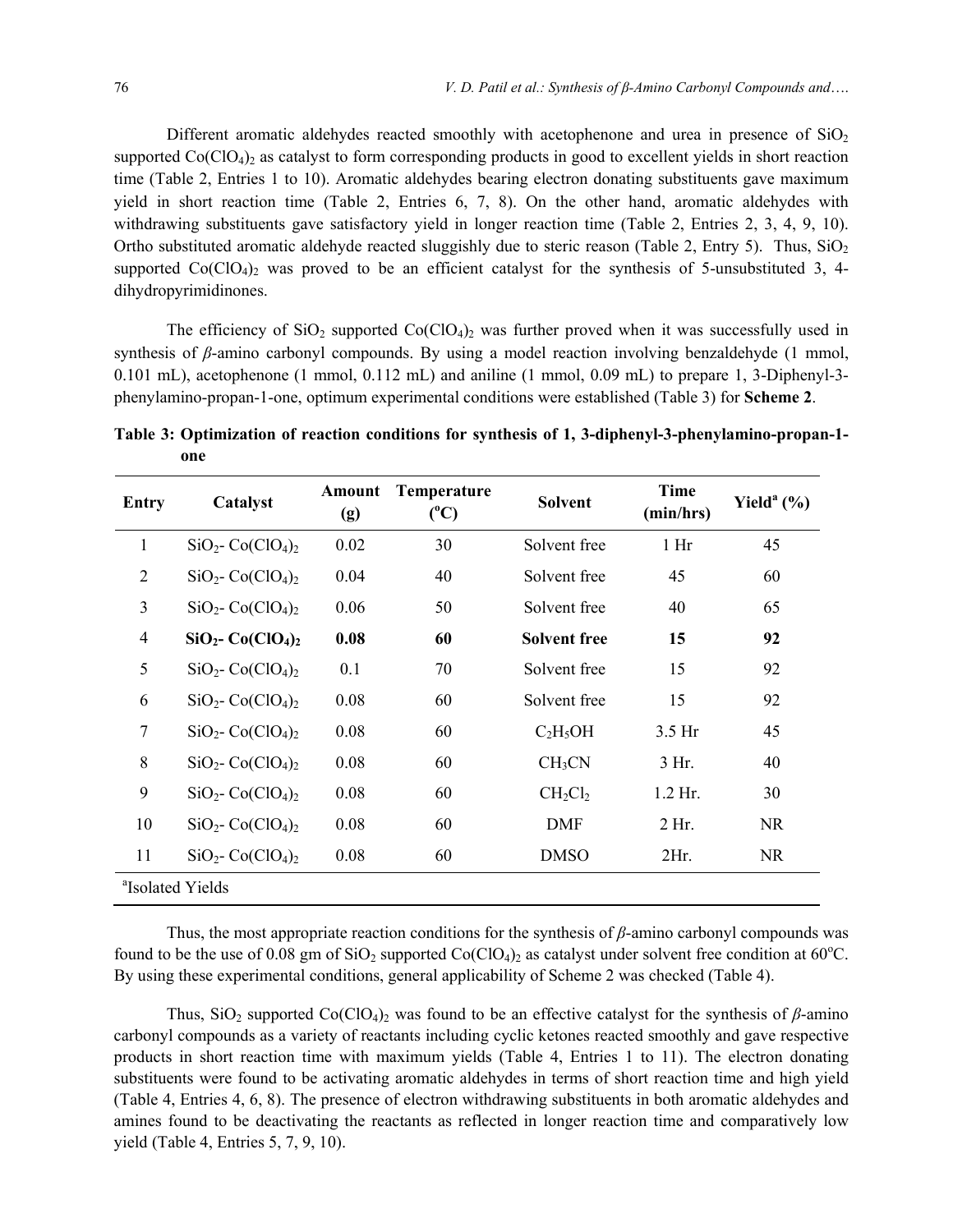Different aromatic aldehydes reacted smoothly with acetophenone and urea in presence of  $SiO<sub>2</sub>$ supported  $Co(CIO<sub>4</sub>)<sub>2</sub>$  as catalyst to form corresponding products in good to excellent yields in short reaction time (Table 2, Entries 1 to 10). Aromatic aldehydes bearing electron donating substituents gave maximum yield in short reaction time (Table 2, Entries 6, 7, 8). On the other hand, aromatic aldehydes with withdrawing substituents gave satisfactory yield in longer reaction time (Table 2, Entries 2, 3, 4, 9, 10). Ortho substituted aromatic aldehyde reacted sluggishly due to steric reason (Table 2, Entry 5). Thus,  $SiO<sub>2</sub>$ supported  $Co(ClO<sub>4</sub>)<sub>2</sub>$  was proved to be an efficient catalyst for the synthesis of 5-unsubstituted 3, 4dihydropyrimidinones.

The efficiency of  $SiO_2$  supported  $Co(CIO_4)_2$  was further proved when it was successfully used in synthesis of *β*-amino carbonyl compounds. By using a model reaction involving benzaldehyde (1 mmol, 0.101 mL), acetophenone (1 mmol, 0.112 mL) and aniline (1 mmol, 0.09 mL) to prepare 1, 3-Diphenyl-3 phenylamino-propan-1-one, optimum experimental conditions were established (Table 3) for **Scheme 2**.

**Table 3: Optimization of reaction conditions for synthesis of 1, 3-diphenyl-3-phenylamino-propan-1 one** 

| Entry                        | Catalyst                                    | Amount<br>(g) | <b>Temperature</b><br>$(^{\circ}C)$ | <b>Solvent</b>      | <b>Time</b><br>(min/hrs) | Yield <sup>a</sup> $(\% )$ |  |  |  |
|------------------------------|---------------------------------------------|---------------|-------------------------------------|---------------------|--------------------------|----------------------------|--|--|--|
| 1                            | $SiO2$ - Co(ClO <sub>4</sub> ) <sub>2</sub> | 0.02          | 30                                  | Solvent free        | 1 <sub>hr</sub>          | 45                         |  |  |  |
| 2                            | $SiO2$ - Co(ClO <sub>4</sub> ) <sub>2</sub> | 0.04          | 40                                  | Solvent free        | 45                       | 60                         |  |  |  |
| $\overline{3}$               | $SiO2$ - Co(ClO <sub>4</sub> ) <sub>2</sub> | 0.06          | 50                                  | Solvent free        | 40                       | 65                         |  |  |  |
| $\overline{4}$               | $SiO2$ - Co(ClO <sub>4</sub> ) <sub>2</sub> | 0.08          | 60                                  | <b>Solvent free</b> | 15                       | 92                         |  |  |  |
| 5                            | $SiO2$ - Co(ClO <sub>4</sub> ) <sub>2</sub> | 0.1           | 70                                  | Solvent free        | 15                       | 92                         |  |  |  |
| 6                            | $SiO2$ - Co(ClO <sub>4</sub> ) <sub>2</sub> | 0.08          | 60                                  | Solvent free        | 15                       | 92                         |  |  |  |
| $\overline{7}$               | $SiO2$ - Co(ClO <sub>4</sub> ) <sub>2</sub> | 0.08          | 60                                  | $C_2H_5OH$          | $3.5$ Hr                 | 45                         |  |  |  |
| 8                            | $SiO2$ - Co(ClO <sub>4</sub> ) <sub>2</sub> | 0.08          | 60                                  | CH <sub>3</sub> CN  | $3$ Hr.                  | 40                         |  |  |  |
| 9                            | $SiO2$ - Co(ClO <sub>4</sub> ) <sub>2</sub> | 0.08          | 60                                  | $CH_2Cl_2$          | $1.2$ Hr.                | 30                         |  |  |  |
| 10                           | $SiO2$ - Co(ClO <sub>4</sub> ) <sub>2</sub> | 0.08          | 60                                  | <b>DMF</b>          | 2 <sub>HT</sub>          | <b>NR</b>                  |  |  |  |
| 11                           | $SiO2$ - Co(ClO <sub>4</sub> ) <sub>2</sub> | 0.08          | 60                                  | <b>DMSO</b>         | 2Hr.                     | <b>NR</b>                  |  |  |  |
| <sup>a</sup> Isolated Yields |                                             |               |                                     |                     |                          |                            |  |  |  |

Thus, the most appropriate reaction conditions for the synthesis of *β*-amino carbonyl compounds was found to be the use of 0.08 gm of  $SiO<sub>2</sub>$  supported  $Co(CIO<sub>4</sub>)<sub>2</sub>$  as catalyst under solvent free condition at 60°C. By using these experimental conditions, general applicability of Scheme 2 was checked (Table 4).

Thus, SiO<sub>2</sub> supported Co(ClO<sub>4</sub>)<sub>2</sub> was found to be an effective catalyst for the synthesis of  $\beta$ -amino carbonyl compounds as a variety of reactants including cyclic ketones reacted smoothly and gave respective products in short reaction time with maximum yields (Table 4, Entries 1 to 11). The electron donating substituents were found to be activating aromatic aldehydes in terms of short reaction time and high yield (Table 4, Entries 4, 6, 8). The presence of electron withdrawing substituents in both aromatic aldehydes and amines found to be deactivating the reactants as reflected in longer reaction time and comparatively low yield (Table 4, Entries 5, 7, 9, 10).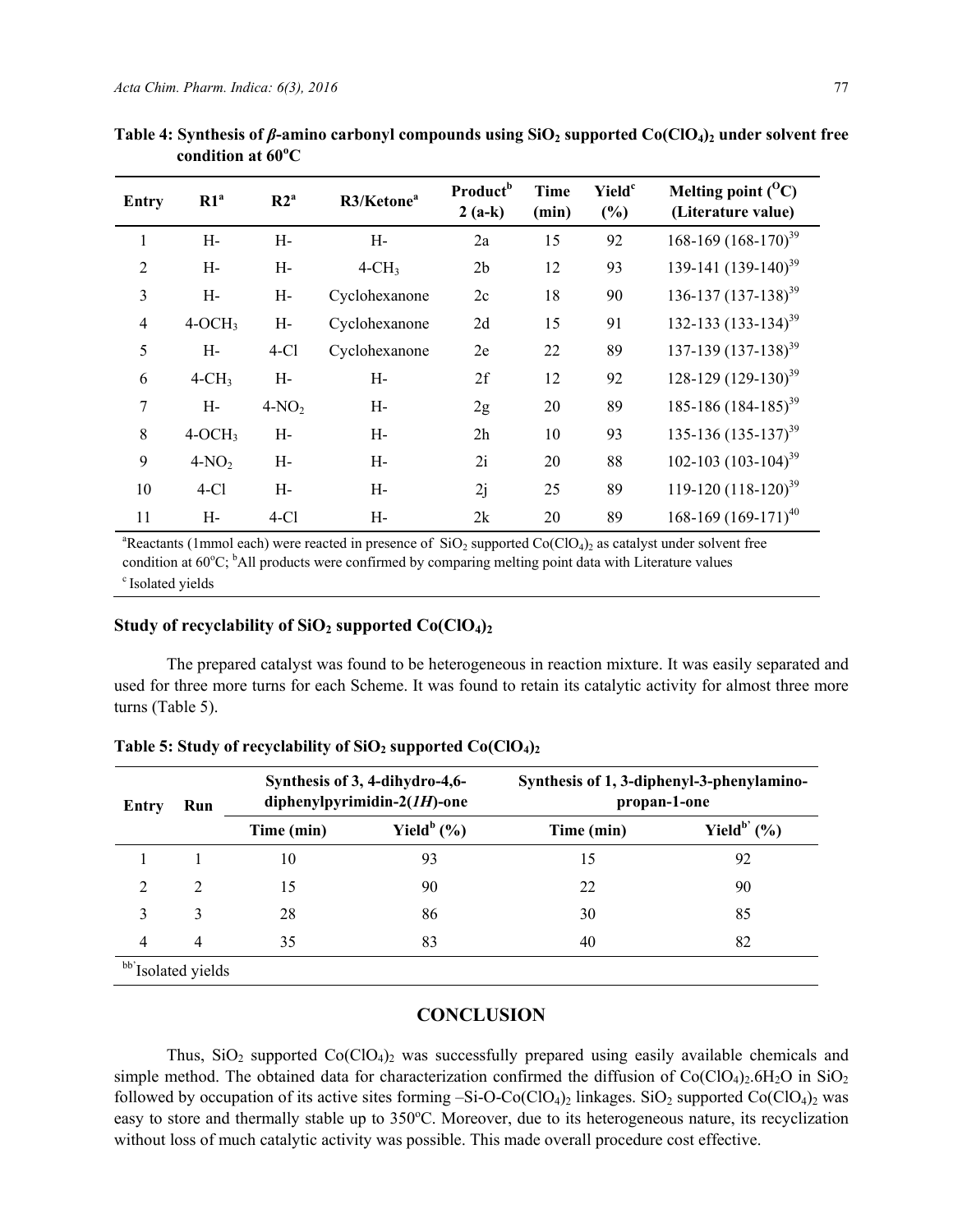| <b>Entry</b>   | R1 <sup>a</sup> | R2 <sup>a</sup> | R3/Ketone <sup>a</sup> | <b>Product</b> <sup>b</sup><br>$2(a-k)$ | <b>Time</b><br>(min) | <b>Yield</b> <sup>c</sup><br>(%) | Melting point $(^0C)$<br>(Literature value) |
|----------------|-----------------|-----------------|------------------------|-----------------------------------------|----------------------|----------------------------------|---------------------------------------------|
| 1              | H-              | H-              | H-                     | 2a                                      | 15                   | 92                               | 168-169 $(168-170)^{39}$                    |
| $\overline{2}$ | H-              | H-              | $4-CH3$                | 2 <sub>b</sub>                          | 12                   | 93                               | 139-141 (139-140) <sup>39</sup>             |
| 3              | $H-$            | H-              | Cyclohexanone          | 2c                                      | 18                   | 90                               | $136 - 137 (137 - 138)^{39}$                |
| 4              | $4-OCH3$        | $H-$            | Cyclohexanone          | 2d                                      | 15                   | 91                               | 132-133 $(133-134)^{39}$                    |
| 5              | H-              | $4-Cl$          | Cyclohexanone          | 2e                                      | 22                   | 89                               | $137-139$ $(137-138)^{39}$                  |
| 6              | $4-CH3$         | H-              | H-                     | 2f                                      | 12                   | 92                               | 128-129 $(129-130)^{39}$                    |
| 7              | H-              | $4-NO2$         | H-                     | 2g                                      | 20                   | 89                               | 185-186 $(184-185)^{39}$                    |
| 8              | $4-OCH3$        | H-              | H-                     | 2h                                      | 10                   | 93                               | $135-136$ $(135-137)^{39}$                  |
| 9              | $4-NO2$         | H-              | H-                     | 2i                                      | 20                   | 88                               | 102-103 $(103-104)^{39}$                    |
| 10             | $4-Cl$          | H-              | H-                     | 2j                                      | 25                   | 89                               | 119-120 $(118-120)^{39}$                    |
| 11             | H-              | $4-Cl$          | H-                     | 2k                                      | 20                   | 89                               | $168-169$ $(169-171)^{40}$                  |

Table 4: Synthesis of *β*-amino carbonyl compounds using SiO<sub>2</sub> supported Co(ClO<sub>4</sub>)<sub>2</sub> under solvent free **condition at 60<sup>o</sup> C** 

<sup>a</sup>Reactants (1mmol each) were reacted in presence of  $SiO<sub>2</sub>$  supported  $Co(CIO<sub>4</sub>)<sub>2</sub>$  as catalyst under solvent free condition at  $60^{\circ}$ C; <sup>b</sup>All products were confirmed by comparing melting point data with Literature values <sup>c</sup> Isolated vields

## Study of recyclability of  $SiO<sub>2</sub>$  supported  $Co(CIO<sub>4</sub>)<sub>2</sub>$

The prepared catalyst was found to be heterogeneous in reaction mixture. It was easily separated and used for three more turns for each Scheme. It was found to retain its catalytic activity for almost three more turns (Table 5).

| Entry                          | Run            | Synthesis of 3, 4-dihydro-4,6-<br>diphenylpyrimidin- $2(1H)$ -one |                | Synthesis of 1, 3-diphenyl-3-phenylamino-<br>propan-1-one |                       |  |  |  |
|--------------------------------|----------------|-------------------------------------------------------------------|----------------|-----------------------------------------------------------|-----------------------|--|--|--|
|                                |                | Time (min)                                                        | Yield $^b$ (%) | Time (min)                                                | Yield $^{\rm b'}$ (%) |  |  |  |
|                                |                | 10                                                                | 93             | 15                                                        | 92                    |  |  |  |
| $\mathcal{D}$                  | 2              | 15                                                                | 90             | 22                                                        | 90                    |  |  |  |
| 3                              | 3              | 28                                                                | 86             | 30                                                        | 85                    |  |  |  |
| $\overline{4}$                 | $\overline{4}$ | 35                                                                | 83             | 40                                                        | 82                    |  |  |  |
| bb' <sub>Isolated</sub> yields |                |                                                                   |                |                                                           |                       |  |  |  |

## Table 5: Study of recyclability of SiO<sub>2</sub> supported Co(ClO<sub>4</sub>)<sub>2</sub>

#### **CONCLUSION**

Thus,  $SiO<sub>2</sub>$  supported  $Co(CIO<sub>4</sub>)<sub>2</sub>$  was successfully prepared using easily available chemicals and simple method. The obtained data for characterization confirmed the diffusion of  $Co(CIO<sub>4</sub>)<sub>2</sub>$ .6H<sub>2</sub>O in SiO<sub>2</sub> followed by occupation of its active sites forming  $-Si-O-Co(CIO<sub>4</sub>)<sub>2</sub>$  linkages. SiO<sub>2</sub> supported Co(ClO<sub>4</sub>)<sub>2</sub> was easy to store and thermally stable up to 350°C. Moreover, due to its heterogeneous nature, its recyclization without loss of much catalytic activity was possible. This made overall procedure cost effective.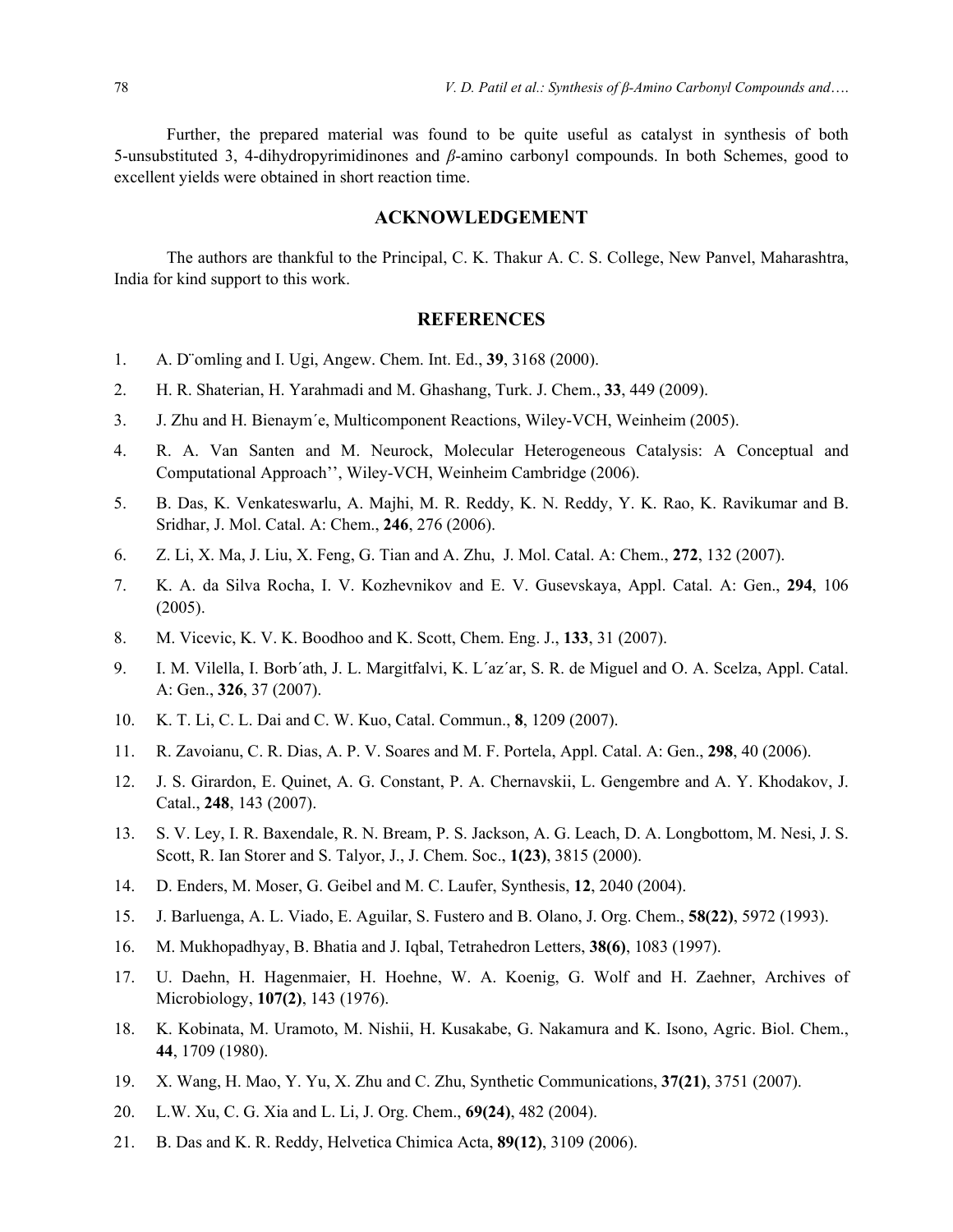Further, the prepared material was found to be quite useful as catalyst in synthesis of both 5-unsubstituted 3, 4-dihydropyrimidinones and *β*-amino carbonyl compounds. In both Schemes, good to excellent yields were obtained in short reaction time.

## **ACKNOWLEDGEMENT**

The authors are thankful to the Principal, C. K. Thakur A. C. S. College, New Panvel, Maharashtra, India for kind support to this work.

## **REFERENCES**

- 1. A. D¨omling and I. Ugi, Angew. Chem. Int. Ed., **39**, 3168 (2000).
- 2. H. R. Shaterian, H. Yarahmadi and M. Ghashang, Turk. J. Chem., **33**, 449 (2009).
- 3. J. Zhu and H. Bienaym´e, Multicomponent Reactions, Wiley-VCH, Weinheim (2005).
- 4. R. A. Van Santen and M. Neurock, Molecular Heterogeneous Catalysis: A Conceptual and Computational Approach'', Wiley-VCH, Weinheim Cambridge (2006).
- 5. B. Das, K. Venkateswarlu, A. Majhi, M. R. Reddy, K. N. Reddy, Y. K. Rao, K. Ravikumar and B. Sridhar, J. Mol. Catal. A: Chem., **246**, 276 (2006).
- 6. Z. Li, X. Ma, J. Liu, X. Feng, G. Tian and A. Zhu, J. Mol. Catal. A: Chem., **272**, 132 (2007).
- 7. K. A. da Silva Rocha, I. V. Kozhevnikov and E. V. Gusevskaya, Appl. Catal. A: Gen., **294**, 106 (2005).
- 8. M. Vicevic, K. V. K. Boodhoo and K. Scott, Chem. Eng. J., **133**, 31 (2007).
- 9. I. M. Vilella, I. Borb´ath, J. L. Margitfalvi, K. L´az´ar, S. R. de Miguel and O. A. Scelza, Appl. Catal. A: Gen., **326**, 37 (2007).
- 10. K. T. Li, C. L. Dai and C. W. Kuo, Catal. Commun., **8**, 1209 (2007).
- 11. R. Zavoianu, C. R. Dias, A. P. V. Soares and M. F. Portela, Appl. Catal. A: Gen., **298**, 40 (2006).
- 12. J. S. Girardon, E. Quinet, A. G. Constant, P. A. Chernavskii, L. Gengembre and A. Y. Khodakov, J. Catal., **248**, 143 (2007).
- 13. S. V. Ley, I. R. Baxendale, R. N. Bream, P. S. Jackson, A. G. Leach, D. A. Longbottom, M. Nesi, J. S. Scott, R. Ian Storer and S. Talyor, J., J. Chem. Soc., **1(23)**, 3815 (2000).
- 14. D. Enders, M. Moser, G. Geibel and M. C. Laufer, Synthesis, **12**, 2040 (2004).
- 15. J. Barluenga, A. L. Viado, E. Aguilar, S. Fustero and B. Olano, J. Org. Chem., **58(22)**, 5972 (1993).
- 16. M. Mukhopadhyay, B. Bhatia and J. Iqbal, Tetrahedron Letters, **38(6)**, 1083 (1997).
- 17. U. Daehn, H. Hagenmaier, H. Hoehne, W. A. Koenig, G. Wolf and H. Zaehner, Archives of Microbiology, **107(2)**, 143 (1976).
- 18. K. Kobinata, M. Uramoto, M. Nishii, H. Kusakabe, G. Nakamura and K. Isono, Agric. Biol. Chem., **44**, 1709 (1980).
- 19. X. Wang, H. Mao, Y. Yu, X. Zhu and C. Zhu, Synthetic Communications, **37(21)**, 3751 (2007).
- 20. L.W. Xu, C. G. Xia and L. Li, J. Org. Chem., **69(24)**, 482 (2004).
- 21. B. Das and K. R. Reddy, Helvetica Chimica Acta, **89(12)**, 3109 (2006).